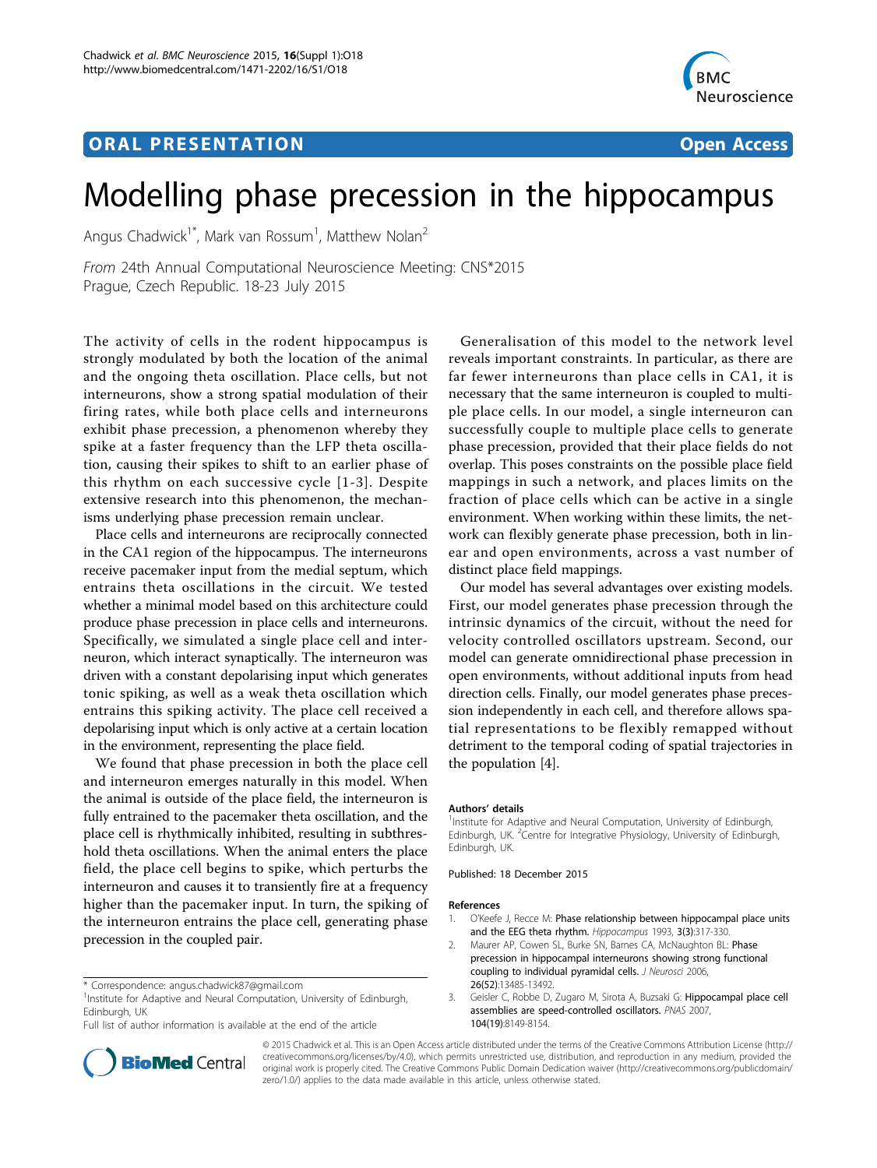## **ORAL PRESENTATION OPEN ACCESS**



# Modelling phase precession in the hippocampus

Angus Chadwick<sup>1\*</sup>, Mark van Rossum<sup>1</sup>, Matthew Nolan<sup>2</sup>

From 24th Annual Computational Neuroscience Meeting: CNS\*2015 Prague, Czech Republic. 18-23 July 2015

The activity of cells in the rodent hippocampus is strongly modulated by both the location of the animal and the ongoing theta oscillation. Place cells, but not interneurons, show a strong spatial modulation of their firing rates, while both place cells and interneurons exhibit phase precession, a phenomenon whereby they spike at a faster frequency than the LFP theta oscillation, causing their spikes to shift to an earlier phase of this rhythm on each successive cycle [1-3]. Despite extensive research into this phenomenon, the mechanisms underlying phase precession remain unclear.

Place cells and interneurons are reciprocally connected in the CA1 region of the hippocampus. The interneurons receive pacemaker input from the medial septum, which entrains theta oscillations in the circuit. We tested whether a minimal model based on this architecture could produce phase precession in place cells and interneurons. Specifically, we simulated a single place cell and interneuron, which interact synaptically. The interneuron was driven with a constant depolarising input which generates tonic spiking, as well as a weak theta oscillation which entrains this spiking activity. The place cell received a depolarising input which is only active at a certain location in the environment, representing the place field.

We found that phase precession in both the place cell and interneuron emerges naturally in this model. When the animal is outside of the place field, the interneuron is fully entrained to the pacemaker theta oscillation, and the place cell is rhythmically inhibited, resulting in subthreshold theta oscillations. When the animal enters the place field, the place cell begins to spike, which perturbs the interneuron and causes it to transiently fire at a frequency higher than the pacemaker input. In turn, the spiking of the interneuron entrains the place cell, generating phase precession in the coupled pair.



Generalisation of this model to the network level

Our model has several advantages over existing models. First, our model generates phase precession through the intrinsic dynamics of the circuit, without the need for velocity controlled oscillators upstream. Second, our model can generate omnidirectional phase precession in open environments, without additional inputs from head direction cells. Finally, our model generates phase precession independently in each cell, and therefore allows spatial representations to be flexibly remapped without detriment to the temporal coding of spatial trajectories in the population [[4\]](#page-1-0).

#### Authors' details <sup>1</sup>

<sup>1</sup>Institute for Adaptive and Neural Computation, University of Edinburgh, Edinburgh, UK.<sup>2</sup> Centre for Integrative Physiology, University of Edinburgh, Edinburgh, UK.

Published: 18 December 2015

#### References

- 1. O'Keefe J, Recce M: Phase relationship between hippocampal place units and the EEG theta rhythm. Hippocampus 1993, 3(3):317-330.
- 2. Maurer AP, Cowen SL, Burke SN, Barnes CA, McNaughton BL: Phase precession in hippocampal interneurons showing strong functional coupling to individual pyramidal cells. J Neurosci 2006, 26(52):13485-13492.
- 3. Geisler C, Robbe D, Zugaro M, Sirota A, Buzsaki G: Hippocampal place cell assemblies are speed-controlled oscillators. PNAS 2007, 104(19):8149-8154.



© 2015 Chadwick et al. This is an Open Access article distributed under the terms of the Creative Commons Attribution License [\(http://](http://creativecommons.org/licenses/by/4.0) [creativecommons.org/licenses/by/4.0](http://creativecommons.org/licenses/by/4.0)), which permits unrestricted use, distribution, and reproduction in any medium, provided the original work is properly cited. The Creative Commons Public Domain Dedication waiver ([http://creativecommons.org/publicdomain/](http://creativecommons.org/publicdomain/zero/1.0/) [zero/1.0/](http://creativecommons.org/publicdomain/zero/1.0/)) applies to the data made available in this article, unless otherwise stated.

<sup>\*</sup> Correspondence: [angus.chadwick87@gmail.com](mailto:angus.chadwick87@gmail.com)

<sup>&</sup>lt;sup>1</sup>Institute for Adaptive and Neural Computation, University of Edinburgh, Edinburgh, UK

Full list of author information is available at the end of the article